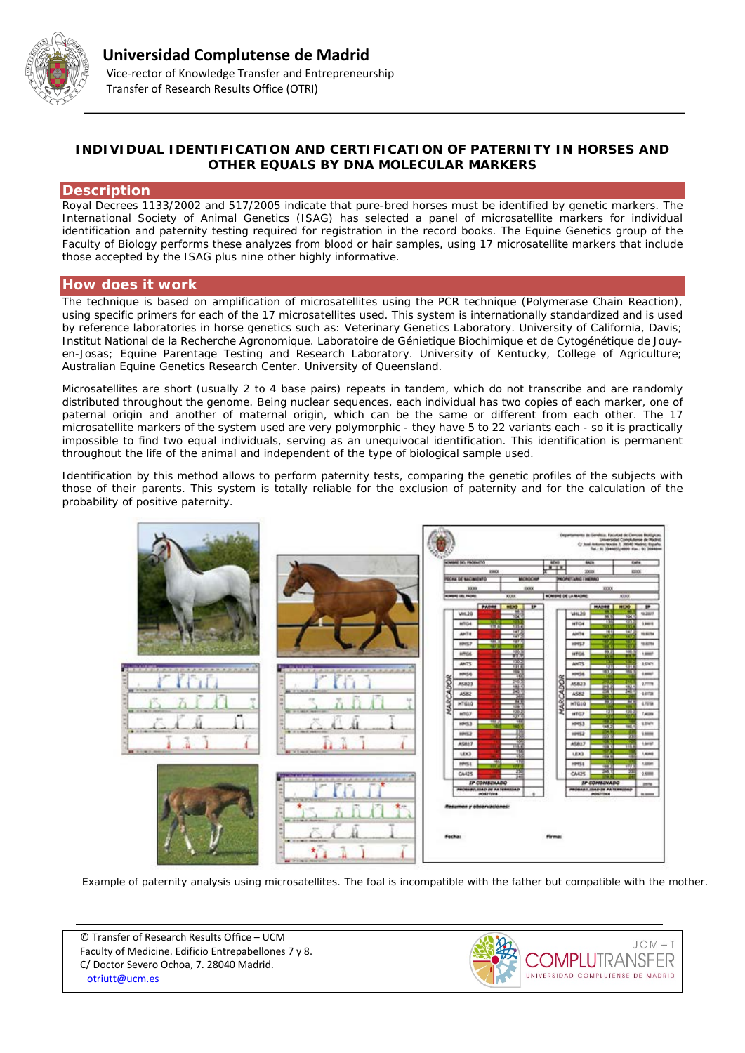

# **INDIVIDUAL IDENTIFICATION AND CERTIFICATION OF PATERNITY IN HORSES AND OTHER EQUALS BY DNA MOLECULAR MARKERS**

#### **Description**

Royal Decrees 1133/2002 and 517/2005 indicate that pure-bred horses must be identified by genetic markers. The International Society of Animal Genetics (ISAG) has selected a panel of microsatellite markers for individual identification and paternity testing required for registration in the record books. The Equine Genetics group of the Faculty of Biology performs these analyzes from blood or hair samples, using 17 microsatellite markers that include those accepted by the ISAG plus nine other highly informative.

## **How does it work**

The technique is based on amplification of microsatellites using the PCR technique (Polymerase Chain Reaction), using specific primers for each of the 17 microsatellites used. This system is internationally standardized and is used by reference laboratories in horse genetics such as: Veterinary Genetics Laboratory. University of California, Davis; Institut National de la Recherche Agronomique. Laboratoire de Génietique Biochimique et de Cytogénétique de Jouyen-Josas; Equine Parentage Testing and Research Laboratory. University of Kentucky, College of Agriculture; Australian Equine Genetics Research Center. University of Queensland.

Microsatellites are short (usually 2 to 4 base pairs) repeats in tandem, which do not transcribe and are randomly distributed throughout the genome. Being nuclear sequences, each individual has two copies of each marker, one of paternal origin and another of maternal origin, which can be the same or different from each other. The 17 microsatellite markers of the system used are very polymorphic - they have 5 to 22 variants each - so it is practically impossible to find two equal individuals, serving as an unequivocal identification. This identification is permanent throughout the life of the animal and independent of the type of biological sample used.

Identification by this method allows to perform paternity tests, comparing the genetic profiles of the subjects with those of their parents. This system is totally reliable for the exclusion of paternity and for the calculation of the probability of positive paternity.



*Example of paternity analysis using microsatellites. The foal is incompatible with the father but compatible with the mother.*

© Transfer of Research Results Office – UCM Faculty of Medicine. Edificio Entrepabellones 7 y 8. C/ Doctor Severo Ochoa, 7. 28040 Madrid. [otriutt@ucm.es](mailto:otriutt@ucm.es;pilara@ucm.es;ali70060@ucm.es?subject=INDIVIDUAL%20IDENTIFICATION%20AND%20CERTIFICATION%20OF%20PATERNITY%20IN%20HORSES%20AND%20OTHER%20EQUALS%20BY%20DNA%20MOLECULAR%20MARKERS)